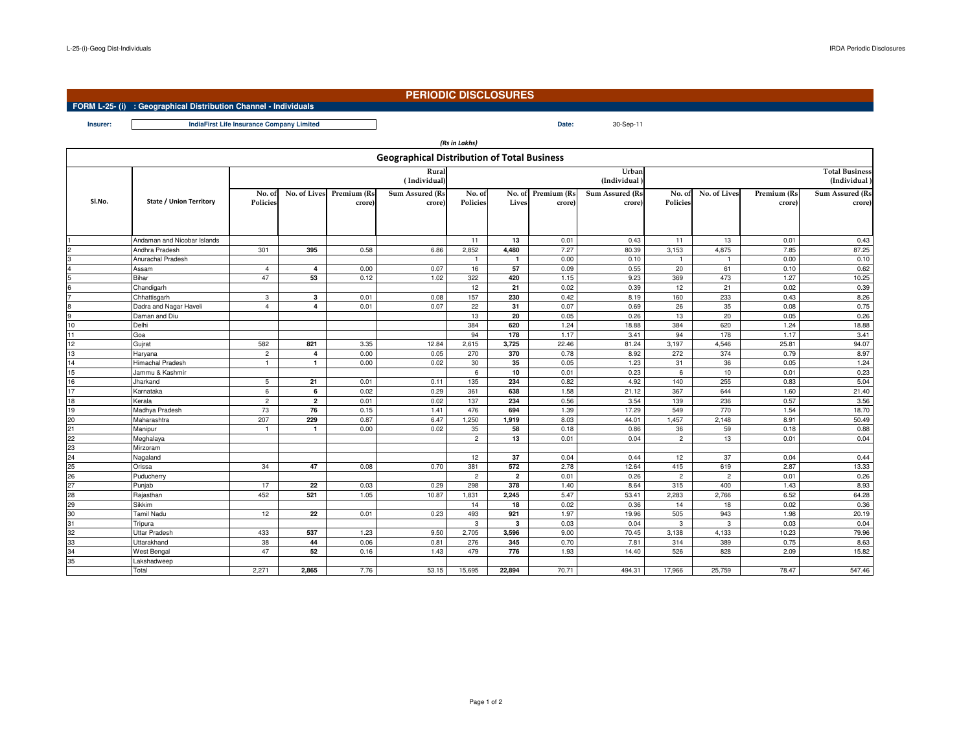**Insurer:**

## **PERIODIC DISCLOSURES**

30-Sep-11

## **FORM L-25- (i) : Geographical Distribution Channel - Individuals**

**Date:IndiaFirst Life Insurance Company Limited**

|                                                    |                                |                |              |             |                 | (Rs in Lakhs)  |                         |                    |                 |                       |                |             |                        |  |
|----------------------------------------------------|--------------------------------|----------------|--------------|-------------|-----------------|----------------|-------------------------|--------------------|-----------------|-----------------------|----------------|-------------|------------------------|--|
| <b>Geographical Distribution of Total Business</b> |                                |                |              |             |                 |                |                         |                    |                 |                       |                |             |                        |  |
|                                                    |                                |                |              |             | Rural           |                |                         |                    | Urban           | <b>Total Business</b> |                |             |                        |  |
|                                                    |                                | (Individual)   |              |             |                 |                |                         |                    | (Individual     | (Individual)          |                |             |                        |  |
|                                                    |                                | No. of         | No. of Lives | Premium (Rs | Sum Assured (Rs | No. of         |                         | No. of Premium (Rs | Sum Assured (Rs | No. of                | No. of Lives   | Premium (Rs | <b>Sum Assured (Rs</b> |  |
| SI.No.                                             | <b>State / Union Territory</b> | Policies       |              | crore)      | crore)          | Policies       | Lives                   | crore)             | crore)          | Policies              |                | crore)      | crore)                 |  |
|                                                    |                                |                |              |             |                 |                |                         |                    |                 |                       |                |             |                        |  |
|                                                    |                                |                |              |             |                 |                |                         |                    |                 |                       |                |             |                        |  |
|                                                    | Andaman and Nicobar Islands    |                |              |             |                 | 11             | 13                      | 0.01               | 0.43            | 11                    | 13             | 0.01        | 0.43                   |  |
|                                                    | Andhra Pradesh                 | 301            | 395          | 0.58        | 6.86            | 2,852          | 4,480                   | 7.27               | 80.39           | 3,153                 | 4,875          | 7.85        | 87.25                  |  |
|                                                    | Anurachal Pradesh              |                |              |             |                 | $\overline{1}$ | $\overline{1}$          | 0.00               | 0.10            | $\overline{1}$        | $\blacksquare$ | 0.00        | 0.10                   |  |
| 4                                                  | Assam                          | $\overline{4}$ | 4            | 0.00        | 0.07            | 16             | 57                      | 0.09               | 0.55            | 20                    | 61             | 0.10        | 0.62                   |  |
| 5                                                  | Bihar                          | 47             | 53           | 0.12        | 1.02            | 322            | 420                     | 1.15               | 9.23            | 369                   | 473            | 1.27        | 10.25                  |  |
|                                                    | Chandigarh                     |                |              |             |                 | 12             | 21                      | 0.02               | 0.39            | 12                    | 21             | 0.02        | 0.39                   |  |
|                                                    | Chhattisgarh                   | $\mathbf{3}$   | $\mathbf{3}$ | 0.01        | 0.08            | 157            | 230                     | 0.42               | 8.19            | 160                   | 233            | 0.43        | 8.26                   |  |
|                                                    | Dadra and Nagar Haveli         | $\overline{4}$ | 4            | 0.01        | 0.07            | 22             | 31                      | 0.07               | 0.69            | 26                    | 35             | 0.08        | 0.75                   |  |
| 9                                                  | Daman and Diu                  |                |              |             |                 | 13             | 20                      | 0.05               | 0.26            | 13                    | 20             | 0.05        | 0.26                   |  |
| 10                                                 | Delhi                          |                |              |             |                 | 384            | 620                     | 1.24               | 18.88           | 384                   | 620            | 1.24        | 18.88                  |  |
| 11                                                 | Goa                            |                |              |             |                 | 94             | 178                     | 1.17               | 3.41            | 94                    | 178            | 1.17        | 3.41                   |  |
| 12                                                 | Gujrat                         | 582            | 821          | 3.35        | 12.84           | 2,615          | 3,725                   | 22.46              | 81.24           | 3,197                 | 4,546          | 25.81       | 94.07                  |  |
| 13                                                 | Haryana                        | $\overline{2}$ | 4            | 0.00        | 0.05            | 270            | 370                     | 0.78               | 8.92            | 272                   | 374            | 0.79        | 8.97                   |  |
| 14                                                 | <b>Himachal Pradesh</b>        | $\mathbf{1}$   | $\mathbf{1}$ | 0.00        | 0.02            | 30             | 35                      | 0.05               | 1.23            | 31                    | 36             | 0.05        | 1.24                   |  |
| 15                                                 | Jammu & Kashmir                |                |              |             |                 | 6              | 10                      | 0.01               | 0.23            | 6                     | 10             | 0.01        | 0.23                   |  |
| 16                                                 | Jharkand                       | 5              | 21           | 0.01        | 0.11            | 135            | 234                     | 0.82               | 4.92            | 140                   | 255            | 0.83        | 5.04                   |  |
| 17                                                 | Karnataka                      | 6              | 6            | 0.02        | 0.29            | 361            | 638                     | 1.58               | 21.12           | 367                   | 644            | 1.60        | 21.40                  |  |
| 18                                                 | Kerala                         | $\overline{c}$ | $\mathbf{2}$ | 0.01        | 0.02            | 137            | 234                     | 0.56               | 3.54            | 139                   | 236            | 0.57        | 3.56                   |  |
| 19                                                 | Madhya Pradesh                 | 73             | 76           | 0.15        | 1.41            | 476            | 694                     | 1.39               | 17.29           | 549                   | 770            | 1.54        | 18.70                  |  |
| 20<br>21<br>22<br>23<br>24<br>25<br>26<br>27<br>28 | Maharashtra                    | 207            | 229          | 0.87        | 6.47            | 1,250          | 1,919                   | 8.03               | 44.01           | 1,457                 | 2,148          | 8.91        | 50.49                  |  |
|                                                    | Manipur                        | $\mathbf{1}$   | $\mathbf{1}$ | 0.00        | 0.02            | 35             | 58                      | 0.18               | 0.86            | 36                    | 59             | 0.18        | 0.88                   |  |
|                                                    | Meghalaya                      |                |              |             |                 | $\overline{2}$ | 13                      | 0.01               | 0.04            | $\overline{2}$        | 13             | 0.01        | 0.04                   |  |
|                                                    | Mirzoram                       |                |              |             |                 |                |                         |                    |                 |                       |                |             |                        |  |
|                                                    | Nagaland                       |                |              |             |                 | 12             | 37                      | 0.04               | 0.44            | 12                    | 37             | 0.04        | 0.44                   |  |
|                                                    | Orissa                         | 34             | 47           | 0.08        | 0.70            | 381            | 572                     | 2.78               | 12.64           | 415                   | 619            | 2.87        | 13.33                  |  |
|                                                    | Puducherry                     |                |              |             |                 | $\overline{2}$ | $\overline{\mathbf{2}}$ | 0.01               | 0.26            | $\overline{c}$        | $\overline{c}$ | 0.01        | 0.26                   |  |
|                                                    | Punjab                         | 17             | 22           | 0.03        | 0.29            | 298            | 378                     | 1.40               | 8.64            | 315                   | 400            | 1.43        | 8.93                   |  |
|                                                    | Rajasthan                      | 452            | 521          | 1.05        | 10.87           | 1,831          | 2.245                   | 5.47               | 53.41           | 2,283                 | 2,766          | 6.52        | 64.28                  |  |
|                                                    | <b>Sikkim</b>                  |                |              |             |                 | 14             | 18                      | 0.02               | 0.36            | 14                    | 18             | 0.02        | 0.36                   |  |
| 30                                                 | <b>Tamil Nadu</b>              | 12             | 22           | 0.01        | 0.23            | 493            | 921                     | 1.97               | 19.96           | 505                   | 943            | 1.98        | 20.19                  |  |
| 31<br>32<br>33                                     | Tripura                        |                |              |             |                 | $\mathbf{3}$   | 3                       | 0.03               | 0.04            | $\mathbf{3}$          | $\mathbf{3}$   | 0.03        | 0.04                   |  |
|                                                    | <b>Uttar Pradesh</b>           | 433            | 537          | 1.23        | 9.50            | 2,705          | 3,596                   | 9.00               | 70.45           | 3,138                 | 4,133          | 10.23       | 79.96                  |  |
|                                                    | Uttarakhand                    | 38             | 44           | 0.06        | 0.81            | 276            | 345                     | 0.70               | 7.81            | 314                   | 389            | 0.75        | 8.63                   |  |
| 34<br>35                                           | West Bengal                    | 47             | 52           | 0.16        | 1.43            | 479            | 776                     | 1.93               | 14.40           | 526                   | 828            | 2.09        | 15.82                  |  |
|                                                    | Lakshadweep                    |                |              |             |                 |                |                         |                    |                 |                       |                |             |                        |  |
|                                                    | Total                          | 2,271          | 2.865        | 7.76        | 53.15           | 15,695         | 22,894                  | 70.71              | 494.31          | 17,966                | 25,759         | 78.47       | 547.46                 |  |